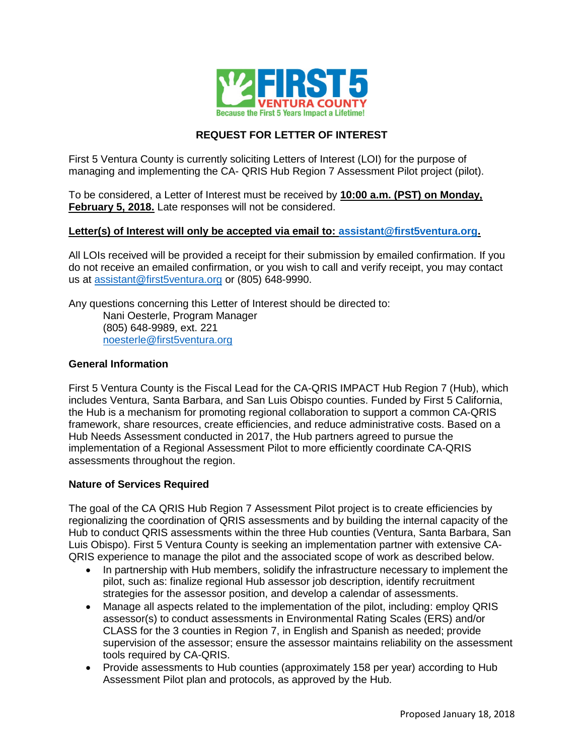

# **REQUEST FOR LETTER OF INTEREST**

First 5 Ventura County is currently soliciting Letters of Interest (LOI) for the purpose of managing and implementing the CA- QRIS Hub Region 7 Assessment Pilot project (pilot).

To be considered, a Letter of Interest must be received by **10:00 a.m. (PST) on Monday, February 5, 2018.** Late responses will not be considered.

# **Letter(s) of Interest will only be accepted via email to: assistant@first5ventura.org.**

All LOIs received will be provided a receipt for their submission by emailed confirmation. If you do not receive an emailed confirmation, or you wish to call and verify receipt, you may contact us at assistant@first5ventura.org or (805) 648-9990.

Any questions concerning this Letter of Interest should be directed to: Nani Oesterle, Program Manager (805) 648-9989, ext. 221 noesterle@first5ventura.org

# **General Information**

First 5 Ventura County is the Fiscal Lead for the CA-QRIS IMPACT Hub Region 7 (Hub), which includes Ventura, Santa Barbara, and San Luis Obispo counties. Funded by First 5 California, the Hub is a mechanism for promoting regional collaboration to support a common CA-QRIS framework, share resources, create efficiencies, and reduce administrative costs. Based on a Hub Needs Assessment conducted in 2017, the Hub partners agreed to pursue the implementation of a Regional Assessment Pilot to more efficiently coordinate CA-QRIS assessments throughout the region.

### **Nature of Services Required**

The goal of the CA QRIS Hub Region 7 Assessment Pilot project is to create efficiencies by regionalizing the coordination of QRIS assessments and by building the internal capacity of the Hub to conduct QRIS assessments within the three Hub counties (Ventura, Santa Barbara, San Luis Obispo). First 5 Ventura County is seeking an implementation partner with extensive CA-QRIS experience to manage the pilot and the associated scope of work as described below.

- In partnership with Hub members, solidify the infrastructure necessary to implement the pilot, such as: finalize regional Hub assessor job description, identify recruitment strategies for the assessor position, and develop a calendar of assessments.
- Manage all aspects related to the implementation of the pilot, including: employ QRIS assessor(s) to conduct assessments in Environmental Rating Scales (ERS) and/or CLASS for the 3 counties in Region 7, in English and Spanish as needed; provide supervision of the assessor; ensure the assessor maintains reliability on the assessment tools required by CA-QRIS.
- Provide assessments to Hub counties (approximately 158 per year) according to Hub Assessment Pilot plan and protocols, as approved by the Hub.